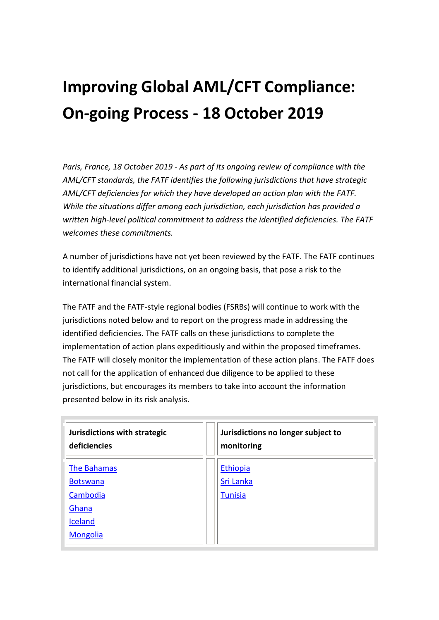# **Improving Global AML/CFT Compliance: On-going Process - 18 October 2019**

*Paris, France, 18 October 2019 - As part of its ongoing review of compliance with the AML/CFT standards, the FATF identifies the following jurisdictions that have strategic AML/CFT deficiencies for which they have developed an action plan with the FATF. While the situations differ among each jurisdiction, each jurisdiction has provided a written high-level political commitment to address the identified deficiencies. The FATF welcomes these commitments.*

A number of jurisdictions have not yet been reviewed by the FATF. The FATF continues to identify additional jurisdictions, on an ongoing basis, that pose a risk to the international financial system.

The FATF and the FATF-style regional bodies (FSRBs) will continue to work with the jurisdictions noted below and to report on the progress made in addressing the identified deficiencies. The FATF calls on these jurisdictions to complete the implementation of action plans expeditiously and within the proposed timeframes. The FATF will closely monitor the implementation of these action plans. The FATF does not call for the application of enhanced due diligence to be applied to these jurisdictions, but encourages its members to take into account the information presented below in its risk analysis.

| Jurisdictions with strategic<br>deficiencies | Jurisdictions no longer subject to<br>monitoring |
|----------------------------------------------|--------------------------------------------------|
| The Bahamas                                  | Ethiopia                                         |
| <b>Botswana</b>                              | Sri Lanka                                        |
| Cambodia                                     | <b>Tunisia</b>                                   |
| Ghana                                        |                                                  |
| <b>Iceland</b>                               |                                                  |
| <b>Mongolia</b>                              |                                                  |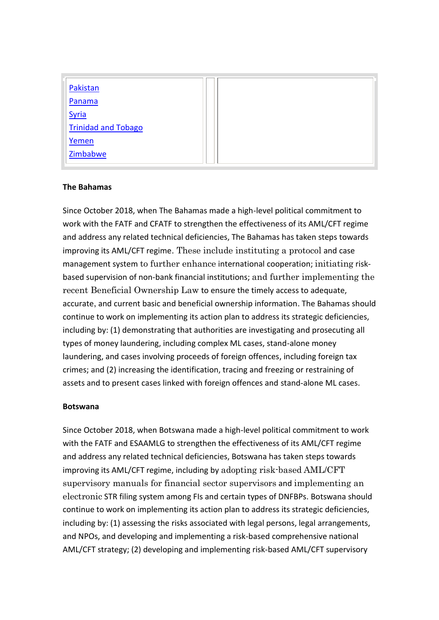| Pakistan                   |  |
|----------------------------|--|
| Panama                     |  |
| Syria                      |  |
| <b>Trinidad and Tobago</b> |  |
| Yemen                      |  |
| Zimbabwe                   |  |

#### **The Bahamas**

Since October 2018, when The Bahamas made a high-level political commitment to work with the FATF and CFATF to strengthen the effectiveness of its AML/CFT regime and address any related technical deficiencies, The Bahamas has taken steps towards improving its AML/CFT regime. These include instituting a protocol and case management system to further enhance international cooperation; initiating riskbased supervision of non-bank financial institutions; and further implementing the recent Beneficial Ownership Law to ensure the timely access to adequate, accurate, and current basic and beneficial ownership information. The Bahamas should continue to work on implementing its action plan to address its strategic deficiencies, including by: (1) demonstrating that authorities are investigating and prosecuting all types of money laundering, including complex ML cases, stand-alone money laundering, and cases involving proceeds of foreign offences, including foreign tax crimes; and (2) increasing the identification, tracing and freezing or restraining of assets and to present cases linked with foreign offences and stand-alone ML cases.

# **Botswana**

Since October 2018, when Botswana made a high-level political commitment to work with the FATF and ESAAMLG to strengthen the effectiveness of its AML/CFT regime and address any related technical deficiencies, Botswana has taken steps towards improving its AML/CFT regime, including by adopting risk-based AML/CFT supervisory manuals for financial sector supervisors and implementing an electronic STR filing system among FIs and certain types of DNFBPs. Botswana should continue to work on implementing its action plan to address its strategic deficiencies, including by: (1) assessing the risks associated with legal persons, legal arrangements, and NPOs, and developing and implementing a risk-based comprehensive national AML/CFT strategy; (2) developing and implementing risk-based AML/CFT supervisory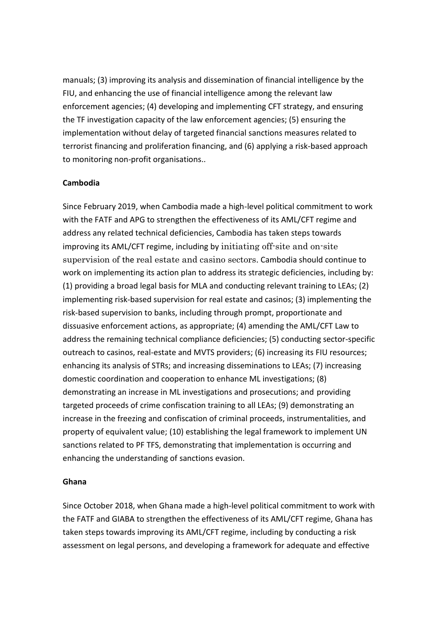manuals; (3) improving its analysis and dissemination of financial intelligence by the FIU, and enhancing the use of financial intelligence among the relevant law enforcement agencies; (4) developing and implementing CFT strategy, and ensuring the TF investigation capacity of the law enforcement agencies; (5) ensuring the implementation without delay of targeted financial sanctions measures related to terrorist financing and proliferation financing, and (6) applying a risk-based approach to monitoring non-profit organisations..

# **Cambodia**

Since February 2019, when Cambodia made a high-level political commitment to work with the FATF and APG to strengthen the effectiveness of its AML/CFT regime and address any related technical deficiencies, Cambodia has taken steps towards improving its AML/CFT regime, including by initiating off-site and on-site supervision of the real estate and casino sectors. Cambodia should continue to work on implementing its action plan to address its strategic deficiencies, including by: (1) providing a broad legal basis for MLA and conducting relevant training to LEAs; (2) implementing risk-based supervision for real estate and casinos; (3) implementing the risk-based supervision to banks, including through prompt, proportionate and dissuasive enforcement actions, as appropriate; (4) amending the AML/CFT Law to address the remaining technical compliance deficiencies; (5) conducting sector-specific outreach to casinos, real-estate and MVTS providers; (6) increasing its FIU resources; enhancing its analysis of STRs; and increasing disseminations to LEAs; (7) increasing domestic coordination and cooperation to enhance ML investigations; (8) demonstrating an increase in ML investigations and prosecutions; and providing targeted proceeds of crime confiscation training to all LEAs; (9) demonstrating an increase in the freezing and confiscation of criminal proceeds, instrumentalities, and property of equivalent value; (10) establishing the legal framework to implement UN sanctions related to PF TFS, demonstrating that implementation is occurring and enhancing the understanding of sanctions evasion.

# **Ghana**

Since October 2018, when Ghana made a high-level political commitment to work with the FATF and GIABA to strengthen the effectiveness of its AML/CFT regime, Ghana has taken steps towards improving its AML/CFT regime, including by conducting a risk assessment on legal persons, and developing a framework for adequate and effective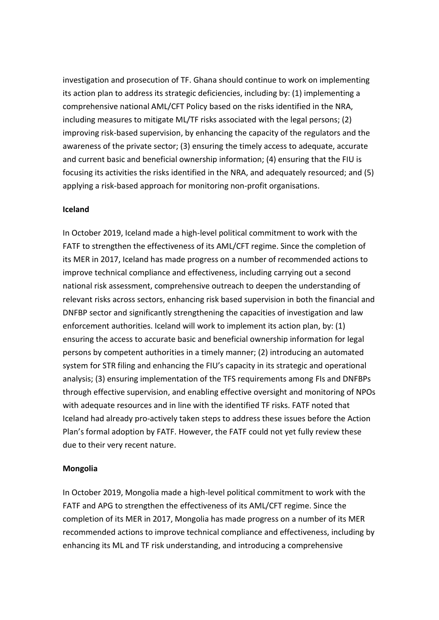investigation and prosecution of TF. Ghana should continue to work on implementing its action plan to address its strategic deficiencies, including by: (1) implementing a comprehensive national AML/CFT Policy based on the risks identified in the NRA, including measures to mitigate ML/TF risks associated with the legal persons; (2) improving risk-based supervision, by enhancing the capacity of the regulators and the awareness of the private sector; (3) ensuring the timely access to adequate, accurate and current basic and beneficial ownership information; (4) ensuring that the FIU is focusing its activities the risks identified in the NRA, and adequately resourced; and (5) applying a risk-based approach for monitoring non-profit organisations.

#### **Iceland**

In October 2019, Iceland made a high-level political commitment to work with the FATF to strengthen the effectiveness of its AML/CFT regime. Since the completion of its MER in 2017, Iceland has made progress on a number of recommended actions to improve technical compliance and effectiveness, including carrying out a second national risk assessment, comprehensive outreach to deepen the understanding of relevant risks across sectors, enhancing risk based supervision in both the financial and DNFBP sector and significantly strengthening the capacities of investigation and law enforcement authorities. Iceland will work to implement its action plan, by: (1) ensuring the access to accurate basic and beneficial ownership information for legal persons by competent authorities in a timely manner; (2) introducing an automated system for STR filing and enhancing the FIU's capacity in its strategic and operational analysis; (3) ensuring implementation of the TFS requirements among FIs and DNFBPs through effective supervision, and enabling effective oversight and monitoring of NPOs with adequate resources and in line with the identified TF risks. FATF noted that Iceland had already pro-actively taken steps to address these issues before the Action Plan's formal adoption by FATF. However, the FATF could not yet fully review these due to their very recent nature.

# **Mongolia**

In October 2019, Mongolia made a high-level political commitment to work with the FATF and APG to strengthen the effectiveness of its AML/CFT regime. Since the completion of its MER in 2017, Mongolia has made progress on a number of its MER recommended actions to improve technical compliance and effectiveness, including by enhancing its ML and TF risk understanding, and introducing a comprehensive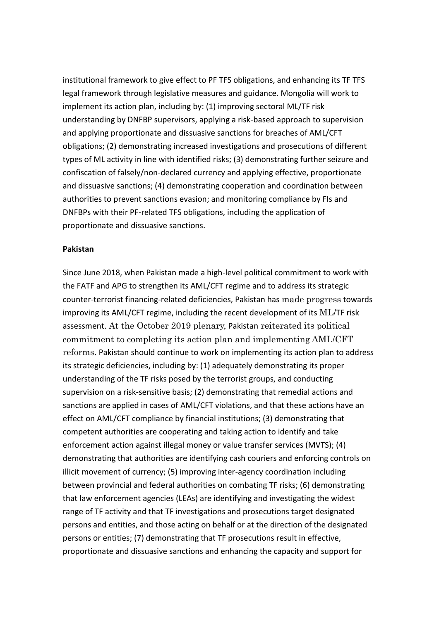institutional framework to give effect to PF TFS obligations, and enhancing its TF TFS legal framework through legislative measures and guidance. Mongolia will work to implement its action plan, including by: (1) improving sectoral ML/TF risk understanding by DNFBP supervisors, applying a risk-based approach to supervision and applying proportionate and dissuasive sanctions for breaches of AML/CFT obligations; (2) demonstrating increased investigations and prosecutions of different types of ML activity in line with identified risks; (3) demonstrating further seizure and confiscation of falsely/non-declared currency and applying effective, proportionate and dissuasive sanctions; (4) demonstrating cooperation and coordination between authorities to prevent sanctions evasion; and monitoring compliance by FIs and DNFBPs with their PF-related TFS obligations, including the application of proportionate and dissuasive sanctions.

#### **Pakistan**

Since June 2018, when Pakistan made a high-level political commitment to work with the FATF and APG to strengthen its AML/CFT regime and to address its strategic counter-terrorist financing-related deficiencies, Pakistan has made progress towards improving its AML/CFT regime, including the recent development of its ML/TF risk assessment. At the October 2019 plenary, Pakistan reiterated its political commitment to completing its action plan and implementing AML/CFT reforms. Pakistan should continue to work on implementing its action plan to address its strategic deficiencies, including by: (1) adequately demonstrating its proper understanding of the TF risks posed by the terrorist groups, and conducting supervision on a risk-sensitive basis; (2) demonstrating that remedial actions and sanctions are applied in cases of AML/CFT violations, and that these actions have an effect on AML/CFT compliance by financial institutions; (3) demonstrating that competent authorities are cooperating and taking action to identify and take enforcement action against illegal money or value transfer services (MVTS); (4) demonstrating that authorities are identifying cash couriers and enforcing controls on illicit movement of currency; (5) improving inter-agency coordination including between provincial and federal authorities on combating TF risks; (6) demonstrating that law enforcement agencies (LEAs) are identifying and investigating the widest range of TF activity and that TF investigations and prosecutions target designated persons and entities, and those acting on behalf or at the direction of the designated persons or entities; (7) demonstrating that TF prosecutions result in effective, proportionate and dissuasive sanctions and enhancing the capacity and support for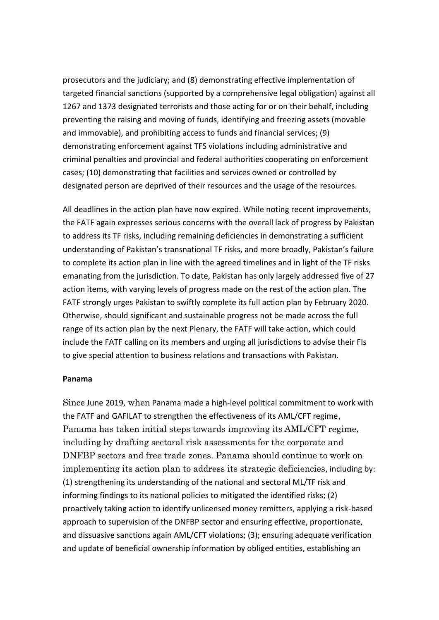prosecutors and the judiciary; and (8) demonstrating effective implementation of targeted financial sanctions (supported by a comprehensive legal obligation) against all 1267 and 1373 designated terrorists and those acting for or on their behalf, including preventing the raising and moving of funds, identifying and freezing assets (movable and immovable), and prohibiting access to funds and financial services; (9) demonstrating enforcement against TFS violations including administrative and criminal penalties and provincial and federal authorities cooperating on enforcement cases; (10) demonstrating that facilities and services owned or controlled by designated person are deprived of their resources and the usage of the resources.

All deadlines in the action plan have now expired. While noting recent improvements, the FATF again expresses serious concerns with the overall lack of progress by Pakistan to address its TF risks, including remaining deficiencies in demonstrating a sufficient understanding of Pakistan's transnational TF risks, and more broadly, Pakistan's failure to complete its action plan in line with the agreed timelines and in light of the TF risks emanating from the jurisdiction. To date, Pakistan has only largely addressed five of 27 action items, with varying levels of progress made on the rest of the action plan. The FATF strongly urges Pakistan to swiftly complete its full action plan by February 2020. Otherwise, should significant and sustainable progress not be made across the full range of its action plan by the next Plenary, the FATF will take action, which could include the FATF calling on its members and urging all jurisdictions to advise their FIs to give special attention to business relations and transactions with Pakistan.

#### **Panama**

Since June 2019, when Panama made a high-level political commitment to work with the FATF and GAFILAT to strengthen the effectiveness of its AML/CFT regime, Panama has taken initial steps towards improving its AML/CFT regime, including by drafting sectoral risk assessments for the corporate and DNFBP sectors and free trade zones. Panama should continue to work on implementing its action plan to address its strategic deficiencies, including by: (1) strengthening its understanding of the national and sectoral ML/TF risk and informing findings to its national policies to mitigated the identified risks; (2) proactively taking action to identify unlicensed money remitters, applying a risk-based approach to supervision of the DNFBP sector and ensuring effective, proportionate, and dissuasive sanctions again AML/CFT violations; (3); ensuring adequate verification and update of beneficial ownership information by obliged entities, establishing an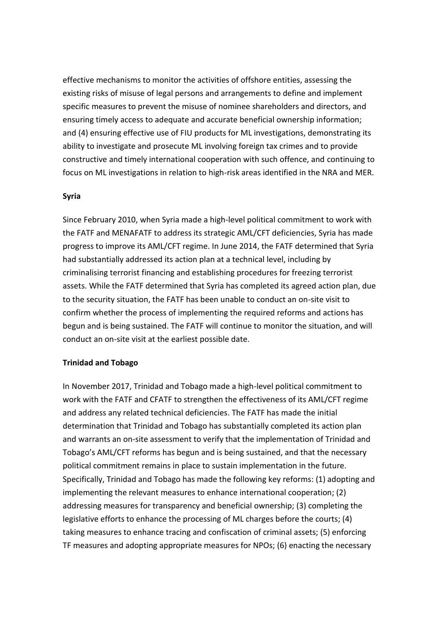effective mechanisms to monitor the activities of offshore entities, assessing the existing risks of misuse of legal persons and arrangements to define and implement specific measures to prevent the misuse of nominee shareholders and directors, and ensuring timely access to adequate and accurate beneficial ownership information; and (4) ensuring effective use of FIU products for ML investigations, demonstrating its ability to investigate and prosecute ML involving foreign tax crimes and to provide constructive and timely international cooperation with such offence, and continuing to focus on ML investigations in relation to high-risk areas identified in the NRA and MER.

#### **Syria**

Since February 2010, when Syria made a high-level political commitment to work with the FATF and MENAFATF to address its strategic AML/CFT deficiencies, Syria has made progress to improve its AML/CFT regime. In June 2014, the FATF determined that Syria had substantially addressed its action plan at a technical level, including by criminalising terrorist financing and establishing procedures for freezing terrorist assets. While the FATF determined that Syria has completed its agreed action plan, due to the security situation, the FATF has been unable to conduct an on-site visit to confirm whether the process of implementing the required reforms and actions has begun and is being sustained. The FATF will continue to monitor the situation, and will conduct an on-site visit at the earliest possible date.

#### **Trinidad and Tobago**

In November 2017, Trinidad and Tobago made a high-level political commitment to work with the FATF and CFATF to strengthen the effectiveness of its AML/CFT regime and address any related technical deficiencies. The FATF has made the initial determination that Trinidad and Tobago has substantially completed its action plan and warrants an on-site assessment to verify that the implementation of Trinidad and Tobago's AML/CFT reforms has begun and is being sustained, and that the necessary political commitment remains in place to sustain implementation in the future. Specifically, Trinidad and Tobago has made the following key reforms: (1) adopting and implementing the relevant measures to enhance international cooperation; (2) addressing measures for transparency and beneficial ownership; (3) completing the legislative efforts to enhance the processing of ML charges before the courts; (4) taking measures to enhance tracing and confiscation of criminal assets; (5) enforcing TF measures and adopting appropriate measures for NPOs; (6) enacting the necessary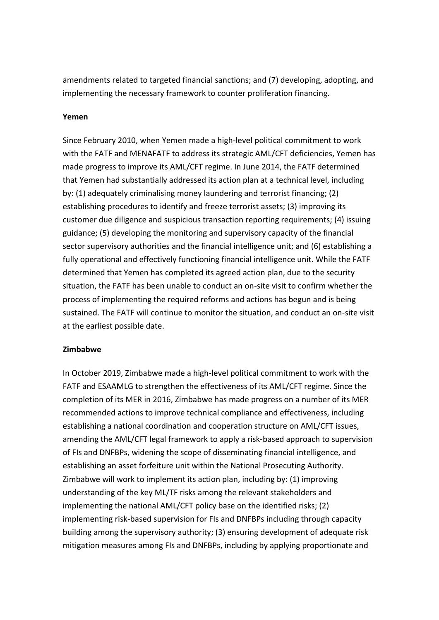amendments related to targeted financial sanctions; and (7) developing, adopting, and implementing the necessary framework to counter proliferation financing.

#### **Yemen**

Since February 2010, when Yemen made a high-level political commitment to work with the FATF and MENAFATF to address its strategic AML/CFT deficiencies, Yemen has made progress to improve its AML/CFT regime. In June 2014, the FATF determined that Yemen had substantially addressed its action plan at a technical level, including by: (1) adequately criminalising money laundering and terrorist financing; (2) establishing procedures to identify and freeze terrorist assets; (3) improving its customer due diligence and suspicious transaction reporting requirements; (4) issuing guidance; (5) developing the monitoring and supervisory capacity of the financial sector supervisory authorities and the financial intelligence unit; and (6) establishing a fully operational and effectively functioning financial intelligence unit. While the FATF determined that Yemen has completed its agreed action plan, due to the security situation, the FATF has been unable to conduct an on-site visit to confirm whether the process of implementing the required reforms and actions has begun and is being sustained. The FATF will continue to monitor the situation, and conduct an on-site visit at the earliest possible date.

#### **Zimbabwe**

In October 2019, Zimbabwe made a high-level political commitment to work with the FATF and ESAAMLG to strengthen the effectiveness of its AML/CFT regime. Since the completion of its MER in 2016, Zimbabwe has made progress on a number of its MER recommended actions to improve technical compliance and effectiveness, including establishing a national coordination and cooperation structure on AML/CFT issues, amending the AML/CFT legal framework to apply a risk-based approach to supervision of FIs and DNFBPs, widening the scope of disseminating financial intelligence, and establishing an asset forfeiture unit within the National Prosecuting Authority. Zimbabwe will work to implement its action plan, including by: (1) improving understanding of the key ML/TF risks among the relevant stakeholders and implementing the national AML/CFT policy base on the identified risks; (2) implementing risk-based supervision for FIs and DNFBPs including through capacity building among the supervisory authority; (3) ensuring development of adequate risk mitigation measures among FIs and DNFBPs, including by applying proportionate and